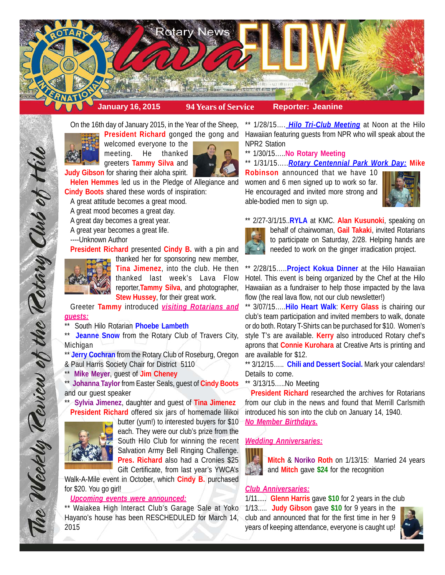

On the 16th day of January 2015, in the Year of the Sheep, **President Richard** gonged the gong and



welcomed everyone to the meeting. He thanked greeters **Tammy Silva** and



**Judy Gibson** for sharing their aloha spirit.

**Helen Hemmes** led us in the Pledge of Allegiance and **Cindy Boots** shared these words of inspiration:

A great attitude becomes a great mood.

A great mood becomes a great day.

A great day becomes a great year.

A great year becomes a great life.

----Unknown Author

**President Richard** presented **Cindy B.** with a pin and



The Weekly Teview of the Tetary Club of Hilo

thanked her for sponsoring new member, **Tina Jimenez**, into the club. He then thanked last week's Lava Flow reporter,**Tammy Silva**, and photographer, **Stew Hussey**, for their great work.

Greeter **Tammy** introduced *visiting Rotarians and guests:*

South Hilo Rotarian **Phoebe Lambeth** 

\*\* Jeanne Snow from the Rotary Club of Travers City, Michigan

\*\* **Jerry Cochran** from the Rotary Club of Roseburg, Oregon & Paul Harris Society Chair for District 5110

\*\* **Mike Meyer**, guest of **Jim Cheney**

\*\* **Johanna Taylor** from Easter Seals, guest of **Cindy Boots** and our guest speaker

\*\* **Sylvia Jimenez**, daughter and guest of **Tina Jimenez President Richard** offered six jars of homemade lilikoi



butter (yum!) to interested buyers for \$10 each. They were our club's prize from the South Hilo Club for winning the recent Salvation Army Bell Ringing Challenge. **Pres. Richard** also had a Cronies \$25 Gift Certificate, from last year's YWCA's

Walk-A-Mile event in October, which **Cindy B.** purchased for \$20. You go girl!

#### *Upcoming events were announced:*

\*\* Waiakea High Interact Club's Garage Sale at Yoko Hayano's house has been RESCHEDULED for March 14, 2015

\*\* 1/28/15…. *Hilo Tri-Club Meeting* at Noon at the Hilo Hawaiian featuring guests from NPR who will speak about the NPR2 Station

\*\* 1/30/15…..**No Rotary Meeting**

\*\* 1/31/15…..*Rotary Centennial Park Work Day:* **Mike**

**Robinson** announced that we have 10 women and 6 men signed up to work so far. He encouraged and invited more strong and able-bodied men to sign up.



\*\* 2/27-3/1/15..**RYLA** at KMC. **Alan Kusunoki**, speaking on



behalf of chairwoman, **Gail Takaki**, invited Rotarians to participate on Saturday, 2/28. Helping hands are needed to work on the ginger irradication project.

\*\* 2/28/15…..**Project Kokua Dinner** at the Hilo Hawaiian Hotel. This event is being organized by the Chef at the Hilo Hawaiian as a fundraiser to help those impacted by the lava flow (the real lava flow, not our club newsletter!)

\*\* 3/07/15…..**Hilo Heart Walk**: **Kerry Glass** is chairing our club's team participation and invited members to walk, donate or do both. Rotary T-Shirts can be purchased for \$10. Women's style T's are available. **Kerry** also introduced Rotary chef's aprons that **Connie Kurohara** at Creative Arts is printing and are available for \$12.

\*\* 3/12/15….. **Chili and Dessert Social.** Mark your calendars! Details to come.

\*\* 3/13/15.....No Meeting

**President Richard** researched the archives for Rotarians from our club in the news and found that Merrill Carlsmith introduced his son into the club on January 14, 1940. *No Member Birthdays.*

## *Wedding Anniversaries:*



**Mitch** & **Noriko Roth** on 1/13/15: Married 24 years and **Mitch** gave **\$24** for the recognition

## *Club Anniversaries:*

1/11..... **Glenn Harris** gave **\$10** for 2 years in the club 1/13..... **Judy Gibson** gave **\$10** for 9 years in the club and announced that for the first time in her 9 years of keeping attendance, everyone is caught up!